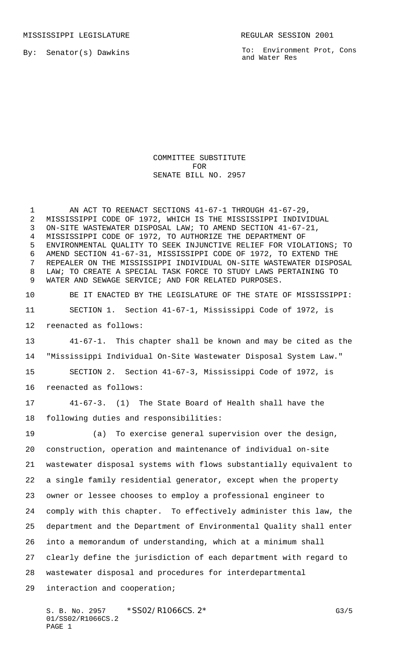MISSISSIPPI LEGISLATURE **REGULAR SESSION 2001** 

By: Senator(s) Dawkins

To: Environment Prot, Cons and Water Res

## COMMITTEE SUBSTITUTE FOR SENATE BILL NO. 2957

1 AN ACT TO REENACT SECTIONS 41-67-1 THROUGH 41-67-29, MISSISSIPPI CODE OF 1972, WHICH IS THE MISSISSIPPI INDIVIDUAL ON-SITE WASTEWATER DISPOSAL LAW; TO AMEND SECTION 41-67-21, MISSISSIPPI CODE OF 1972, TO AUTHORIZE THE DEPARTMENT OF ENVIRONMENTAL QUALITY TO SEEK INJUNCTIVE RELIEF FOR VIOLATIONS; TO AMEND SECTION 41-67-31, MISSISSIPPI CODE OF 1972, TO EXTEND THE REPEALER ON THE MISSISSIPPI INDIVIDUAL ON-SITE WASTEWATER DISPOSAL LAW; TO CREATE A SPECIAL TASK FORCE TO STUDY LAWS PERTAINING TO WATER AND SEWAGE SERVICE; AND FOR RELATED PURPOSES.

 BE IT ENACTED BY THE LEGISLATURE OF THE STATE OF MISSISSIPPI: SECTION 1. Section 41-67-1, Mississippi Code of 1972, is reenacted as follows:

 41-67-1. This chapter shall be known and may be cited as the "Mississippi Individual On-Site Wastewater Disposal System Law." SECTION 2. Section 41-67-3, Mississippi Code of 1972, is reenacted as follows:

 41-67-3. (1) The State Board of Health shall have the following duties and responsibilities:

 (a) To exercise general supervision over the design, construction, operation and maintenance of individual on-site wastewater disposal systems with flows substantially equivalent to a single family residential generator, except when the property owner or lessee chooses to employ a professional engineer to comply with this chapter. To effectively administer this law, the department and the Department of Environmental Quality shall enter into a memorandum of understanding, which at a minimum shall clearly define the jurisdiction of each department with regard to wastewater disposal and procedures for interdepartmental interaction and cooperation;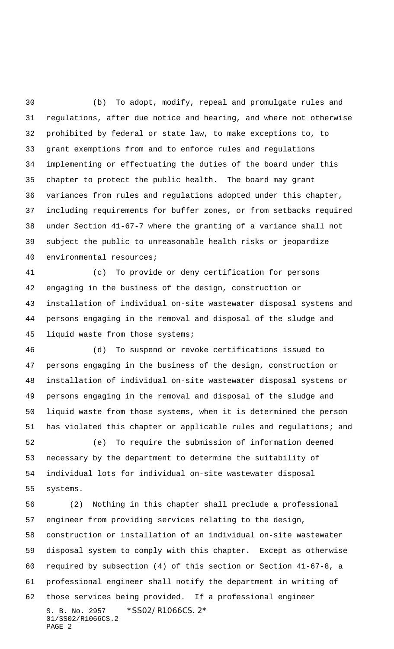(b) To adopt, modify, repeal and promulgate rules and regulations, after due notice and hearing, and where not otherwise prohibited by federal or state law, to make exceptions to, to grant exemptions from and to enforce rules and regulations implementing or effectuating the duties of the board under this chapter to protect the public health. The board may grant variances from rules and regulations adopted under this chapter, including requirements for buffer zones, or from setbacks required under Section 41-67-7 where the granting of a variance shall not subject the public to unreasonable health risks or jeopardize environmental resources;

 (c) To provide or deny certification for persons engaging in the business of the design, construction or installation of individual on-site wastewater disposal systems and persons engaging in the removal and disposal of the sludge and liquid waste from those systems;

 (d) To suspend or revoke certifications issued to persons engaging in the business of the design, construction or installation of individual on-site wastewater disposal systems or persons engaging in the removal and disposal of the sludge and liquid waste from those systems, when it is determined the person has violated this chapter or applicable rules and regulations; and

 (e) To require the submission of information deemed necessary by the department to determine the suitability of individual lots for individual on-site wastewater disposal systems.

S. B. No. 2957 \* SS02/R1066CS. 2\* 01/SS02/R1066CS.2 PAGE 2 (2) Nothing in this chapter shall preclude a professional engineer from providing services relating to the design, construction or installation of an individual on-site wastewater disposal system to comply with this chapter. Except as otherwise required by subsection (4) of this section or Section 41-67-8, a professional engineer shall notify the department in writing of those services being provided. If a professional engineer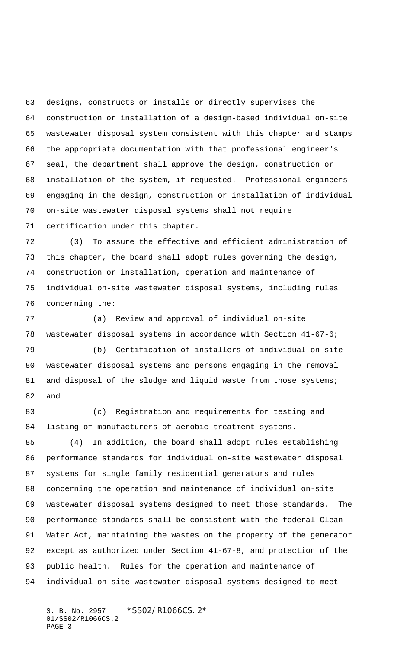designs, constructs or installs or directly supervises the construction or installation of a design-based individual on-site wastewater disposal system consistent with this chapter and stamps the appropriate documentation with that professional engineer's seal, the department shall approve the design, construction or installation of the system, if requested. Professional engineers engaging in the design, construction or installation of individual on-site wastewater disposal systems shall not require certification under this chapter.

 (3) To assure the effective and efficient administration of this chapter, the board shall adopt rules governing the design, construction or installation, operation and maintenance of individual on-site wastewater disposal systems, including rules concerning the:

 (a) Review and approval of individual on-site wastewater disposal systems in accordance with Section 41-67-6;

 (b) Certification of installers of individual on-site wastewater disposal systems and persons engaging in the removal 81 and disposal of the sludge and liquid waste from those systems; and

 (c) Registration and requirements for testing and listing of manufacturers of aerobic treatment systems.

 (4) In addition, the board shall adopt rules establishing performance standards for individual on-site wastewater disposal systems for single family residential generators and rules concerning the operation and maintenance of individual on-site wastewater disposal systems designed to meet those standards. The performance standards shall be consistent with the federal Clean Water Act, maintaining the wastes on the property of the generator except as authorized under Section 41-67-8, and protection of the public health. Rules for the operation and maintenance of individual on-site wastewater disposal systems designed to meet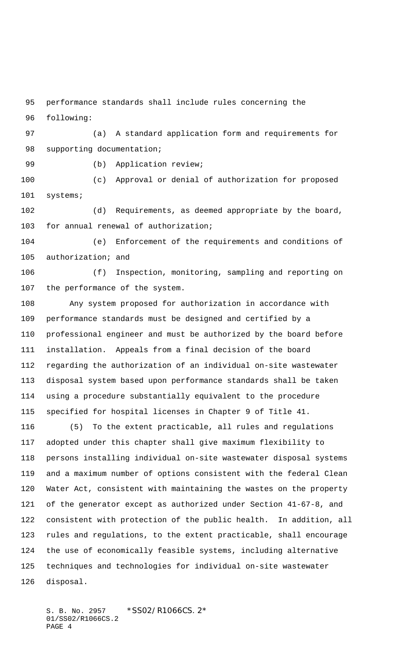performance standards shall include rules concerning the

following:

 (a) A standard application form and requirements for 98 supporting documentation;

99 (b) Application review;

 (c) Approval or denial of authorization for proposed 101 systems;

 (d) Requirements, as deemed appropriate by the board, for annual renewal of authorization;

 (e) Enforcement of the requirements and conditions of authorization; and

 (f) Inspection, monitoring, sampling and reporting on the performance of the system.

 Any system proposed for authorization in accordance with performance standards must be designed and certified by a professional engineer and must be authorized by the board before installation. Appeals from a final decision of the board regarding the authorization of an individual on-site wastewater disposal system based upon performance standards shall be taken using a procedure substantially equivalent to the procedure specified for hospital licenses in Chapter 9 of Title 41.

 (5) To the extent practicable, all rules and regulations adopted under this chapter shall give maximum flexibility to persons installing individual on-site wastewater disposal systems and a maximum number of options consistent with the federal Clean Water Act, consistent with maintaining the wastes on the property of the generator except as authorized under Section 41-67-8, and consistent with protection of the public health. In addition, all rules and regulations, to the extent practicable, shall encourage the use of economically feasible systems, including alternative techniques and technologies for individual on-site wastewater disposal.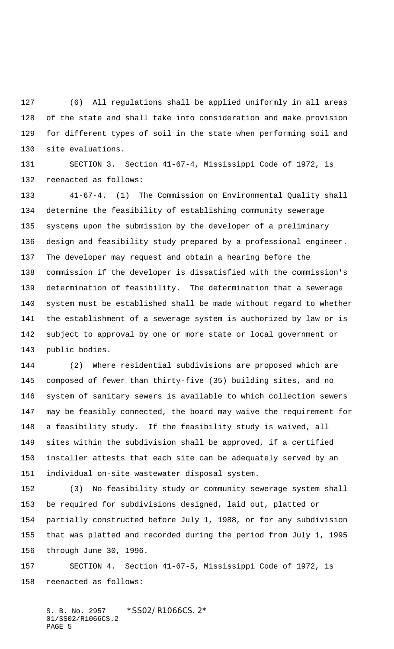(6) All regulations shall be applied uniformly in all areas of the state and shall take into consideration and make provision for different types of soil in the state when performing soil and site evaluations.

 SECTION 3. Section 41-67-4, Mississippi Code of 1972, is reenacted as follows:

 41-67-4. (1) The Commission on Environmental Quality shall determine the feasibility of establishing community sewerage systems upon the submission by the developer of a preliminary design and feasibility study prepared by a professional engineer. The developer may request and obtain a hearing before the commission if the developer is dissatisfied with the commission's determination of feasibility. The determination that a sewerage system must be established shall be made without regard to whether the establishment of a sewerage system is authorized by law or is subject to approval by one or more state or local government or public bodies.

 (2) Where residential subdivisions are proposed which are composed of fewer than thirty-five (35) building sites, and no system of sanitary sewers is available to which collection sewers may be feasibly connected, the board may waive the requirement for a feasibility study. If the feasibility study is waived, all sites within the subdivision shall be approved, if a certified installer attests that each site can be adequately served by an individual on-site wastewater disposal system.

 (3) No feasibility study or community sewerage system shall be required for subdivisions designed, laid out, platted or partially constructed before July 1, 1988, or for any subdivision that was platted and recorded during the period from July 1, 1995 through June 30, 1996.

 SECTION 4. Section 41-67-5, Mississippi Code of 1972, is reenacted as follows: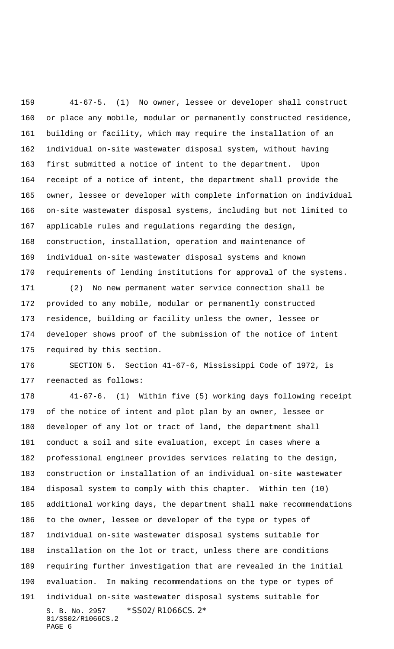41-67-5. (1) No owner, lessee or developer shall construct or place any mobile, modular or permanently constructed residence, building or facility, which may require the installation of an individual on-site wastewater disposal system, without having first submitted a notice of intent to the department. Upon receipt of a notice of intent, the department shall provide the owner, lessee or developer with complete information on individual on-site wastewater disposal systems, including but not limited to applicable rules and regulations regarding the design, construction, installation, operation and maintenance of individual on-site wastewater disposal systems and known requirements of lending institutions for approval of the systems.

 (2) No new permanent water service connection shall be provided to any mobile, modular or permanently constructed residence, building or facility unless the owner, lessee or developer shows proof of the submission of the notice of intent required by this section.

 SECTION 5. Section 41-67-6, Mississippi Code of 1972, is reenacted as follows:

S. B. No. 2957 \* SS02/R1066CS. 2\* 01/SS02/R1066CS.2 PAGE 6 41-67-6. (1) Within five (5) working days following receipt of the notice of intent and plot plan by an owner, lessee or developer of any lot or tract of land, the department shall conduct a soil and site evaluation, except in cases where a professional engineer provides services relating to the design, construction or installation of an individual on-site wastewater disposal system to comply with this chapter. Within ten (10) additional working days, the department shall make recommendations to the owner, lessee or developer of the type or types of individual on-site wastewater disposal systems suitable for installation on the lot or tract, unless there are conditions requiring further investigation that are revealed in the initial evaluation. In making recommendations on the type or types of individual on-site wastewater disposal systems suitable for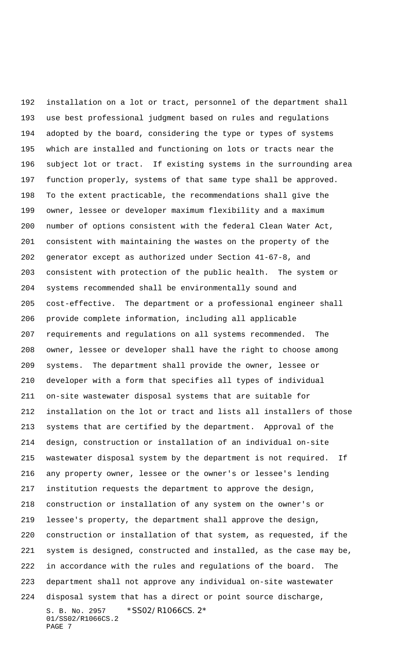S. B. No. 2957 \*SS02/R1066CS. 2\* 01/SS02/R1066CS.2 PAGE 7 installation on a lot or tract, personnel of the department shall use best professional judgment based on rules and regulations adopted by the board, considering the type or types of systems which are installed and functioning on lots or tracts near the subject lot or tract. If existing systems in the surrounding area function properly, systems of that same type shall be approved. To the extent practicable, the recommendations shall give the owner, lessee or developer maximum flexibility and a maximum number of options consistent with the federal Clean Water Act, consistent with maintaining the wastes on the property of the generator except as authorized under Section 41-67-8, and consistent with protection of the public health. The system or systems recommended shall be environmentally sound and cost-effective. The department or a professional engineer shall provide complete information, including all applicable requirements and regulations on all systems recommended. The owner, lessee or developer shall have the right to choose among systems. The department shall provide the owner, lessee or developer with a form that specifies all types of individual on-site wastewater disposal systems that are suitable for installation on the lot or tract and lists all installers of those systems that are certified by the department. Approval of the design, construction or installation of an individual on-site wastewater disposal system by the department is not required. If any property owner, lessee or the owner's or lessee's lending institution requests the department to approve the design, construction or installation of any system on the owner's or lessee's property, the department shall approve the design, construction or installation of that system, as requested, if the system is designed, constructed and installed, as the case may be, in accordance with the rules and regulations of the board. The department shall not approve any individual on-site wastewater disposal system that has a direct or point source discharge,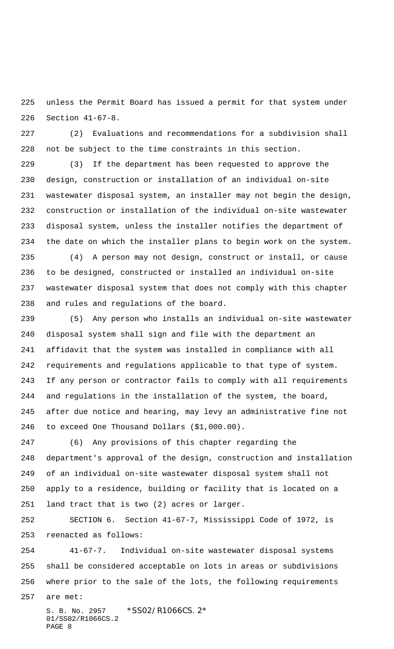unless the Permit Board has issued a permit for that system under Section 41-67-8.

 (2) Evaluations and recommendations for a subdivision shall not be subject to the time constraints in this section.

 (3) If the department has been requested to approve the design, construction or installation of an individual on-site wastewater disposal system, an installer may not begin the design, construction or installation of the individual on-site wastewater disposal system, unless the installer notifies the department of the date on which the installer plans to begin work on the system.

 (4) A person may not design, construct or install, or cause to be designed, constructed or installed an individual on-site wastewater disposal system that does not comply with this chapter and rules and regulations of the board.

 (5) Any person who installs an individual on-site wastewater disposal system shall sign and file with the department an affidavit that the system was installed in compliance with all requirements and regulations applicable to that type of system. If any person or contractor fails to comply with all requirements and regulations in the installation of the system, the board, after due notice and hearing, may levy an administrative fine not to exceed One Thousand Dollars (\$1,000.00).

 (6) Any provisions of this chapter regarding the department's approval of the design, construction and installation of an individual on-site wastewater disposal system shall not apply to a residence, building or facility that is located on a land tract that is two (2) acres or larger.

 SECTION 6. Section 41-67-7, Mississippi Code of 1972, is reenacted as follows:

 41-67-7. Individual on-site wastewater disposal systems shall be considered acceptable on lots in areas or subdivisions where prior to the sale of the lots, the following requirements

are met: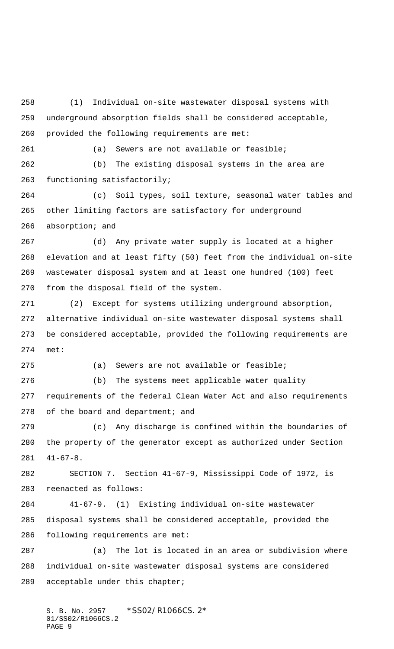(1) Individual on-site wastewater disposal systems with underground absorption fields shall be considered acceptable, provided the following requirements are met: (a) Sewers are not available or feasible; (b) The existing disposal systems in the area are functioning satisfactorily; (c) Soil types, soil texture, seasonal water tables and other limiting factors are satisfactory for underground absorption; and (d) Any private water supply is located at a higher elevation and at least fifty (50) feet from the individual on-site wastewater disposal system and at least one hundred (100) feet from the disposal field of the system. (2) Except for systems utilizing underground absorption, alternative individual on-site wastewater disposal systems shall be considered acceptable, provided the following requirements are met: (a) Sewers are not available or feasible; (b) The systems meet applicable water quality requirements of the federal Clean Water Act and also requirements 278 of the board and department; and (c) Any discharge is confined within the boundaries of the property of the generator except as authorized under Section 41-67-8. SECTION 7. Section 41-67-9, Mississippi Code of 1972, is reenacted as follows: 41-67-9. (1) Existing individual on-site wastewater disposal systems shall be considered acceptable, provided the following requirements are met: (a) The lot is located in an area or subdivision where individual on-site wastewater disposal systems are considered acceptable under this chapter;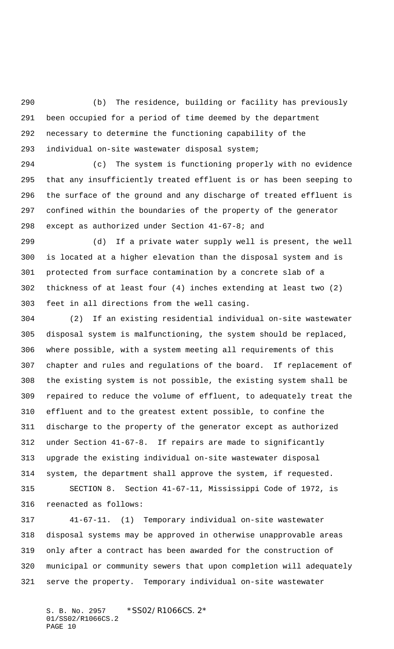(b) The residence, building or facility has previously been occupied for a period of time deemed by the department necessary to determine the functioning capability of the individual on-site wastewater disposal system;

 (c) The system is functioning properly with no evidence that any insufficiently treated effluent is or has been seeping to the surface of the ground and any discharge of treated effluent is confined within the boundaries of the property of the generator except as authorized under Section 41-67-8; and

 (d) If a private water supply well is present, the well is located at a higher elevation than the disposal system and is protected from surface contamination by a concrete slab of a thickness of at least four (4) inches extending at least two (2) feet in all directions from the well casing.

 (2) If an existing residential individual on-site wastewater disposal system is malfunctioning, the system should be replaced, where possible, with a system meeting all requirements of this chapter and rules and regulations of the board. If replacement of the existing system is not possible, the existing system shall be repaired to reduce the volume of effluent, to adequately treat the effluent and to the greatest extent possible, to confine the discharge to the property of the generator except as authorized under Section 41-67-8. If repairs are made to significantly upgrade the existing individual on-site wastewater disposal system, the department shall approve the system, if requested. SECTION 8. Section 41-67-11, Mississippi Code of 1972, is reenacted as follows:

 41-67-11. (1) Temporary individual on-site wastewater disposal systems may be approved in otherwise unapprovable areas only after a contract has been awarded for the construction of municipal or community sewers that upon completion will adequately serve the property. Temporary individual on-site wastewater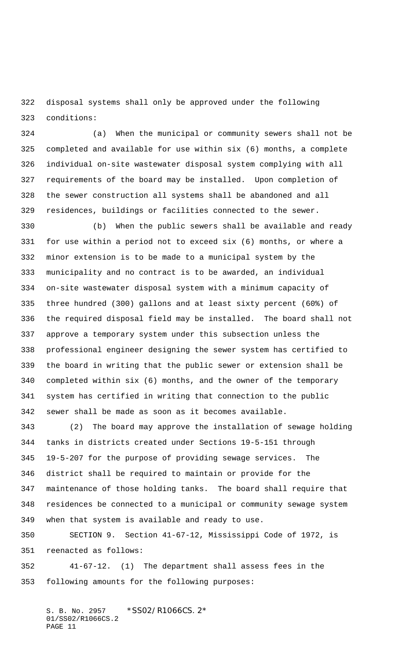disposal systems shall only be approved under the following conditions:

 (a) When the municipal or community sewers shall not be completed and available for use within six (6) months, a complete individual on-site wastewater disposal system complying with all requirements of the board may be installed. Upon completion of the sewer construction all systems shall be abandoned and all residences, buildings or facilities connected to the sewer.

 (b) When the public sewers shall be available and ready for use within a period not to exceed six (6) months, or where a minor extension is to be made to a municipal system by the municipality and no contract is to be awarded, an individual on-site wastewater disposal system with a minimum capacity of three hundred (300) gallons and at least sixty percent (60%) of the required disposal field may be installed. The board shall not approve a temporary system under this subsection unless the professional engineer designing the sewer system has certified to the board in writing that the public sewer or extension shall be completed within six (6) months, and the owner of the temporary system has certified in writing that connection to the public sewer shall be made as soon as it becomes available.

 (2) The board may approve the installation of sewage holding tanks in districts created under Sections 19-5-151 through 19-5-207 for the purpose of providing sewage services. The district shall be required to maintain or provide for the maintenance of those holding tanks. The board shall require that residences be connected to a municipal or community sewage system when that system is available and ready to use.

 SECTION 9. Section 41-67-12, Mississippi Code of 1972, is reenacted as follows:

 41-67-12. (1) The department shall assess fees in the following amounts for the following purposes: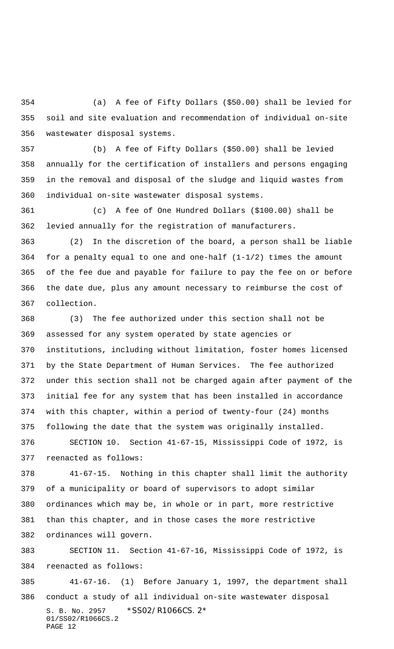(a) A fee of Fifty Dollars (\$50.00) shall be levied for soil and site evaluation and recommendation of individual on-site wastewater disposal systems.

 (b) A fee of Fifty Dollars (\$50.00) shall be levied annually for the certification of installers and persons engaging in the removal and disposal of the sludge and liquid wastes from individual on-site wastewater disposal systems.

 (c) A fee of One Hundred Dollars (\$100.00) shall be levied annually for the registration of manufacturers.

 (2) In the discretion of the board, a person shall be liable for a penalty equal to one and one-half (1-1/2) times the amount of the fee due and payable for failure to pay the fee on or before the date due, plus any amount necessary to reimburse the cost of collection.

 (3) The fee authorized under this section shall not be assessed for any system operated by state agencies or institutions, including without limitation, foster homes licensed by the State Department of Human Services. The fee authorized under this section shall not be charged again after payment of the initial fee for any system that has been installed in accordance with this chapter, within a period of twenty-four (24) months following the date that the system was originally installed. SECTION 10. Section 41-67-15, Mississippi Code of 1972, is

reenacted as follows:

 41-67-15. Nothing in this chapter shall limit the authority of a municipality or board of supervisors to adopt similar ordinances which may be, in whole or in part, more restrictive than this chapter, and in those cases the more restrictive ordinances will govern.

 SECTION 11. Section 41-67-16, Mississippi Code of 1972, is reenacted as follows:

S. B. No. 2957 \*SS02/R1066CS. 2\* 01/SS02/R1066CS.2 PAGE 12 41-67-16. (1) Before January 1, 1997, the department shall conduct a study of all individual on-site wastewater disposal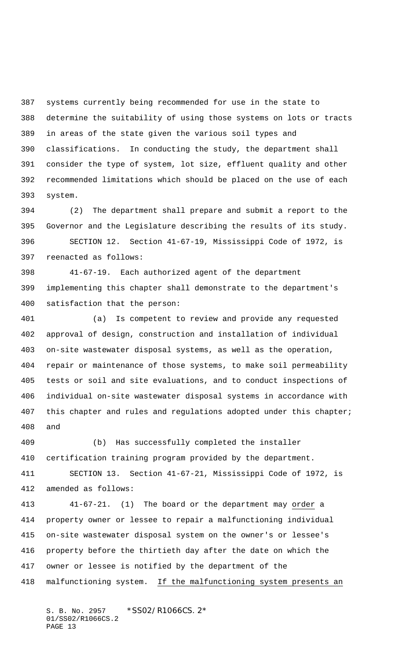systems currently being recommended for use in the state to determine the suitability of using those systems on lots or tracts in areas of the state given the various soil types and classifications. In conducting the study, the department shall consider the type of system, lot size, effluent quality and other recommended limitations which should be placed on the use of each system.

 (2) The department shall prepare and submit a report to the Governor and the Legislature describing the results of its study. SECTION 12. Section 41-67-19, Mississippi Code of 1972, is reenacted as follows:

 41-67-19. Each authorized agent of the department implementing this chapter shall demonstrate to the department's satisfaction that the person:

 (a) Is competent to review and provide any requested approval of design, construction and installation of individual on-site wastewater disposal systems, as well as the operation, repair or maintenance of those systems, to make soil permeability tests or soil and site evaluations, and to conduct inspections of individual on-site wastewater disposal systems in accordance with this chapter and rules and regulations adopted under this chapter; and

 (b) Has successfully completed the installer certification training program provided by the department.

 SECTION 13. Section 41-67-21, Mississippi Code of 1972, is amended as follows:

 41-67-21. (1) The board or the department may order a property owner or lessee to repair a malfunctioning individual on-site wastewater disposal system on the owner's or lessee's property before the thirtieth day after the date on which the owner or lessee is notified by the department of the 418 malfunctioning system. If the malfunctioning system presents an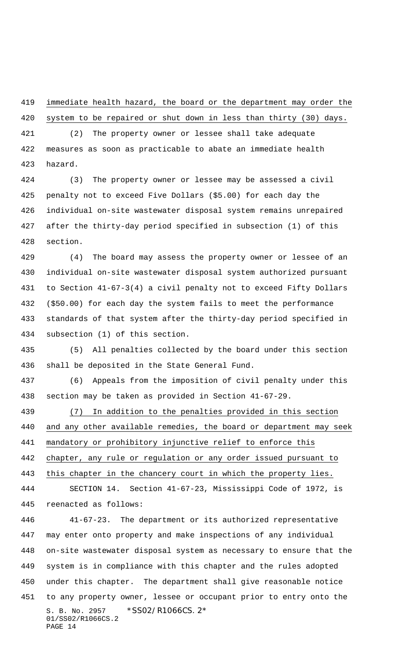immediate health hazard, the board or the department may order the

system to be repaired or shut down in less than thirty (30) days.

 (2) The property owner or lessee shall take adequate measures as soon as practicable to abate an immediate health hazard.

 (3) The property owner or lessee may be assessed a civil penalty not to exceed Five Dollars (\$5.00) for each day the individual on-site wastewater disposal system remains unrepaired after the thirty-day period specified in subsection (1) of this section.

 (4) The board may assess the property owner or lessee of an individual on-site wastewater disposal system authorized pursuant to Section 41-67-3(4) a civil penalty not to exceed Fifty Dollars (\$50.00) for each day the system fails to meet the performance standards of that system after the thirty-day period specified in subsection (1) of this section.

 (5) All penalties collected by the board under this section shall be deposited in the State General Fund.

 (6) Appeals from the imposition of civil penalty under this section may be taken as provided in Section 41-67-29.

 (7) In addition to the penalties provided in this section and any other available remedies, the board or department may seek mandatory or prohibitory injunctive relief to enforce this chapter, any rule or regulation or any order issued pursuant to

443 this chapter in the chancery court in which the property lies.

 SECTION 14. Section 41-67-23, Mississippi Code of 1972, is reenacted as follows:

S. B. No. 2957 \* SS02/R1066CS. 2\* 01/SS02/R1066CS.2 PAGE 14 41-67-23. The department or its authorized representative may enter onto property and make inspections of any individual on-site wastewater disposal system as necessary to ensure that the system is in compliance with this chapter and the rules adopted under this chapter. The department shall give reasonable notice to any property owner, lessee or occupant prior to entry onto the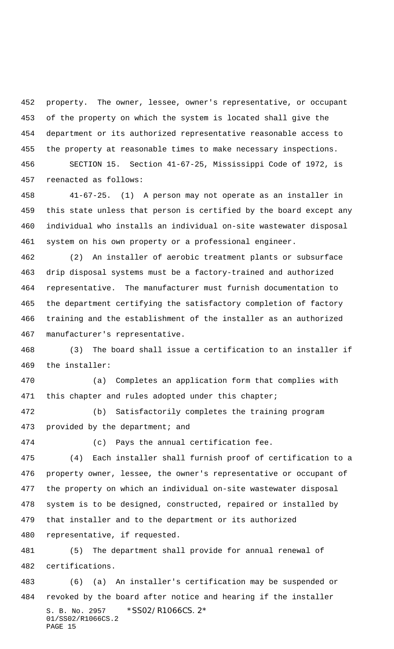property. The owner, lessee, owner's representative, or occupant of the property on which the system is located shall give the department or its authorized representative reasonable access to the property at reasonable times to make necessary inspections. SECTION 15. Section 41-67-25, Mississippi Code of 1972, is reenacted as follows:

 41-67-25. (1) A person may not operate as an installer in this state unless that person is certified by the board except any individual who installs an individual on-site wastewater disposal system on his own property or a professional engineer.

 (2) An installer of aerobic treatment plants or subsurface drip disposal systems must be a factory-trained and authorized representative. The manufacturer must furnish documentation to the department certifying the satisfactory completion of factory training and the establishment of the installer as an authorized manufacturer's representative.

 (3) The board shall issue a certification to an installer if the installer:

 (a) Completes an application form that complies with 471 this chapter and rules adopted under this chapter;

 (b) Satisfactorily completes the training program provided by the department; and

(c) Pays the annual certification fee.

 (4) Each installer shall furnish proof of certification to a property owner, lessee, the owner's representative or occupant of the property on which an individual on-site wastewater disposal system is to be designed, constructed, repaired or installed by that installer and to the department or its authorized representative, if requested.

 (5) The department shall provide for annual renewal of certifications.

S. B. No. 2957 \* SS02/R1066CS. 2\* 01/SS02/R1066CS.2 PAGE 15 (6) (a) An installer's certification may be suspended or revoked by the board after notice and hearing if the installer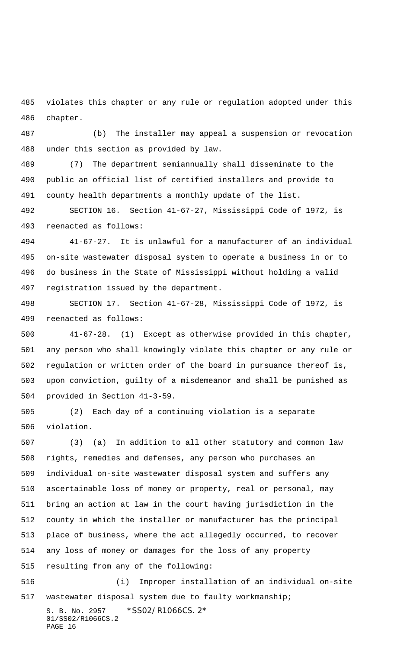violates this chapter or any rule or regulation adopted under this chapter.

 (b) The installer may appeal a suspension or revocation under this section as provided by law.

 (7) The department semiannually shall disseminate to the public an official list of certified installers and provide to county health departments a monthly update of the list.

 SECTION 16. Section 41-67-27, Mississippi Code of 1972, is reenacted as follows:

 41-67-27. It is unlawful for a manufacturer of an individual on-site wastewater disposal system to operate a business in or to do business in the State of Mississippi without holding a valid registration issued by the department.

 SECTION 17. Section 41-67-28, Mississippi Code of 1972, is reenacted as follows:

 41-67-28. (1) Except as otherwise provided in this chapter, any person who shall knowingly violate this chapter or any rule or regulation or written order of the board in pursuance thereof is, upon conviction, guilty of a misdemeanor and shall be punished as provided in Section 41-3-59.

 (2) Each day of a continuing violation is a separate violation.

 (3) (a) In addition to all other statutory and common law rights, remedies and defenses, any person who purchases an individual on-site wastewater disposal system and suffers any ascertainable loss of money or property, real or personal, may bring an action at law in the court having jurisdiction in the county in which the installer or manufacturer has the principal place of business, where the act allegedly occurred, to recover any loss of money or damages for the loss of any property resulting from any of the following:

 (i) Improper installation of an individual on-site wastewater disposal system due to faulty workmanship;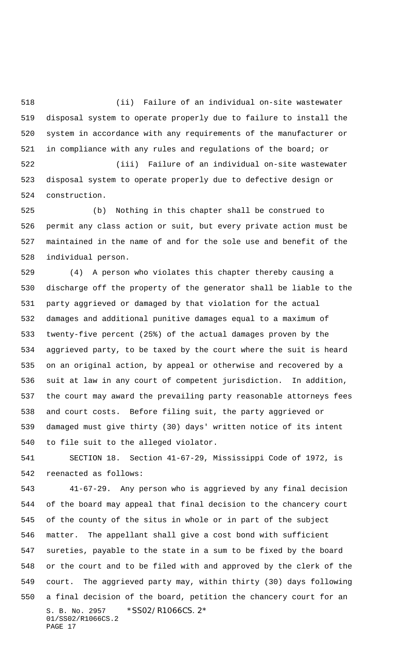(ii) Failure of an individual on-site wastewater disposal system to operate properly due to failure to install the system in accordance with any requirements of the manufacturer or in compliance with any rules and regulations of the board; or

 (iii) Failure of an individual on-site wastewater disposal system to operate properly due to defective design or construction.

 (b) Nothing in this chapter shall be construed to permit any class action or suit, but every private action must be maintained in the name of and for the sole use and benefit of the individual person.

 (4) A person who violates this chapter thereby causing a discharge off the property of the generator shall be liable to the party aggrieved or damaged by that violation for the actual damages and additional punitive damages equal to a maximum of twenty-five percent (25%) of the actual damages proven by the aggrieved party, to be taxed by the court where the suit is heard on an original action, by appeal or otherwise and recovered by a suit at law in any court of competent jurisdiction. In addition, the court may award the prevailing party reasonable attorneys fees and court costs. Before filing suit, the party aggrieved or damaged must give thirty (30) days' written notice of its intent to file suit to the alleged violator.

 SECTION 18. Section 41-67-29, Mississippi Code of 1972, is reenacted as follows:

S. B. No. 2957 \* SS02/R1066CS. 2\* 01/SS02/R1066CS.2 PAGE 17 41-67-29. Any person who is aggrieved by any final decision of the board may appeal that final decision to the chancery court of the county of the situs in whole or in part of the subject matter. The appellant shall give a cost bond with sufficient sureties, payable to the state in a sum to be fixed by the board or the court and to be filed with and approved by the clerk of the court. The aggrieved party may, within thirty (30) days following a final decision of the board, petition the chancery court for an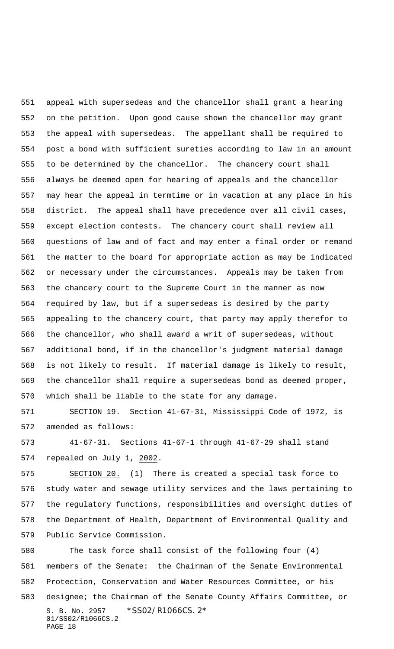appeal with supersedeas and the chancellor shall grant a hearing on the petition. Upon good cause shown the chancellor may grant the appeal with supersedeas. The appellant shall be required to post a bond with sufficient sureties according to law in an amount to be determined by the chancellor. The chancery court shall always be deemed open for hearing of appeals and the chancellor may hear the appeal in termtime or in vacation at any place in his district. The appeal shall have precedence over all civil cases, except election contests. The chancery court shall review all questions of law and of fact and may enter a final order or remand the matter to the board for appropriate action as may be indicated or necessary under the circumstances. Appeals may be taken from the chancery court to the Supreme Court in the manner as now required by law, but if a supersedeas is desired by the party appealing to the chancery court, that party may apply therefor to the chancellor, who shall award a writ of supersedeas, without additional bond, if in the chancellor's judgment material damage is not likely to result. If material damage is likely to result, the chancellor shall require a supersedeas bond as deemed proper, which shall be liable to the state for any damage.

 SECTION 19. Section 41-67-31, Mississippi Code of 1972, is amended as follows:

 41-67-31. Sections 41-67-1 through 41-67-29 shall stand repealed on July 1, 2002.

 SECTION 20. (1) There is created a special task force to study water and sewage utility services and the laws pertaining to the regulatory functions, responsibilities and oversight duties of the Department of Health, Department of Environmental Quality and Public Service Commission.

S. B. No. 2957 \*SS02/R1066CS. 2\* 01/SS02/R1066CS.2 PAGE 18 The task force shall consist of the following four (4) members of the Senate: the Chairman of the Senate Environmental Protection, Conservation and Water Resources Committee, or his designee; the Chairman of the Senate County Affairs Committee, or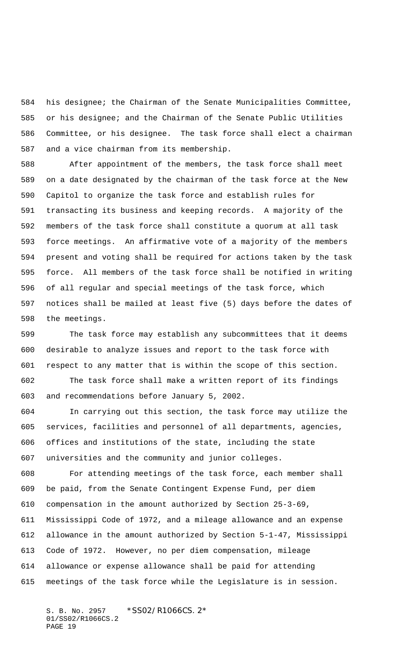his designee; the Chairman of the Senate Municipalities Committee, or his designee; and the Chairman of the Senate Public Utilities Committee, or his designee. The task force shall elect a chairman and a vice chairman from its membership.

 After appointment of the members, the task force shall meet on a date designated by the chairman of the task force at the New Capitol to organize the task force and establish rules for transacting its business and keeping records. A majority of the members of the task force shall constitute a quorum at all task force meetings. An affirmative vote of a majority of the members present and voting shall be required for actions taken by the task force. All members of the task force shall be notified in writing of all regular and special meetings of the task force, which notices shall be mailed at least five (5) days before the dates of the meetings.

 The task force may establish any subcommittees that it deems desirable to analyze issues and report to the task force with respect to any matter that is within the scope of this section.

 The task force shall make a written report of its findings and recommendations before January 5, 2002.

 In carrying out this section, the task force may utilize the services, facilities and personnel of all departments, agencies, offices and institutions of the state, including the state universities and the community and junior colleges.

 For attending meetings of the task force, each member shall be paid, from the Senate Contingent Expense Fund, per diem compensation in the amount authorized by Section 25-3-69, Mississippi Code of 1972, and a mileage allowance and an expense allowance in the amount authorized by Section 5-1-47, Mississippi Code of 1972. However, no per diem compensation, mileage allowance or expense allowance shall be paid for attending meetings of the task force while the Legislature is in session.